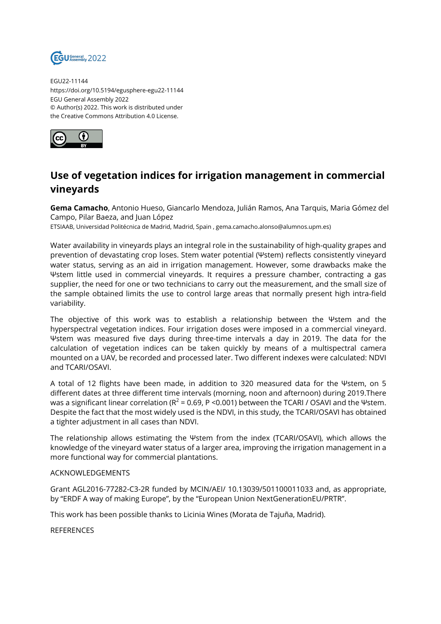

EGU22-11144 https://doi.org/10.5194/egusphere-egu22-11144 EGU General Assembly 2022 © Author(s) 2022. This work is distributed under the Creative Commons Attribution 4.0 License.



## **Use of vegetation indices for irrigation management in commercial vineyards**

**Gema Camacho**, Antonio Hueso, Giancarlo Mendoza, Julián Ramos, Ana Tarquis, Maria Gómez del Campo, Pilar Baeza, and Juan López

ETSIAAB, Universidad Politécnica de Madrid, Madrid, Spain , gema.camacho.alonso@alumnos.upm.es)

Water availability in vineyards plays an integral role in the sustainability of high-quality grapes and prevention of devastating crop loses. Stem water potential (Ψstem) reflects consistently vineyard water status, serving as an aid in irrigation management. However, some drawbacks make the Ψstem little used in commercial vineyards. It requires a pressure chamber, contracting a gas supplier, the need for one or two technicians to carry out the measurement, and the small size of the sample obtained limits the use to control large areas that normally present high intra-field variability.

The objective of this work was to establish a relationship between the Ψstem and the hyperspectral vegetation indices. Four irrigation doses were imposed in a commercial vineyard. Ψstem was measured five days during three-time intervals a day in 2019. The data for the calculation of vegetation indices can be taken quickly by means of a multispectral camera mounted on a UAV, be recorded and processed later. Two different indexes were calculated: NDVI and TCARI/OSAVI.

A total of 12 flights have been made, in addition to 320 measured data for the Ψstem, on 5 different dates at three different time intervals (morning, noon and afternoon) during 2019.There was a significant linear correlation (R $^2$  = 0.69, P <0.001) between the TCARI / OSAVI and the Ψstem. Despite the fact that the most widely used is the NDVI, in this study, the TCARI/OSAVI has obtained a tighter adjustment in all cases than NDVI.

The relationship allows estimating the Ψstem from the index (TCARI/OSAVI), which allows the knowledge of the vineyard water status of a larger area, improving the irrigation management in a more functional way for commercial plantations.

## ACKNOWLEDGEMENTS

Grant AGL2016-77282-C3-2R funded by MCIN/AEI/ 10.13039/501100011033 and, as appropriate, by "ERDF A way of making Europe", by the "European Union NextGenerationEU/PRTR".

This work has been possible thanks to Licinia Wines (Morata de Tajuña, Madrid).

**REFERENCES**